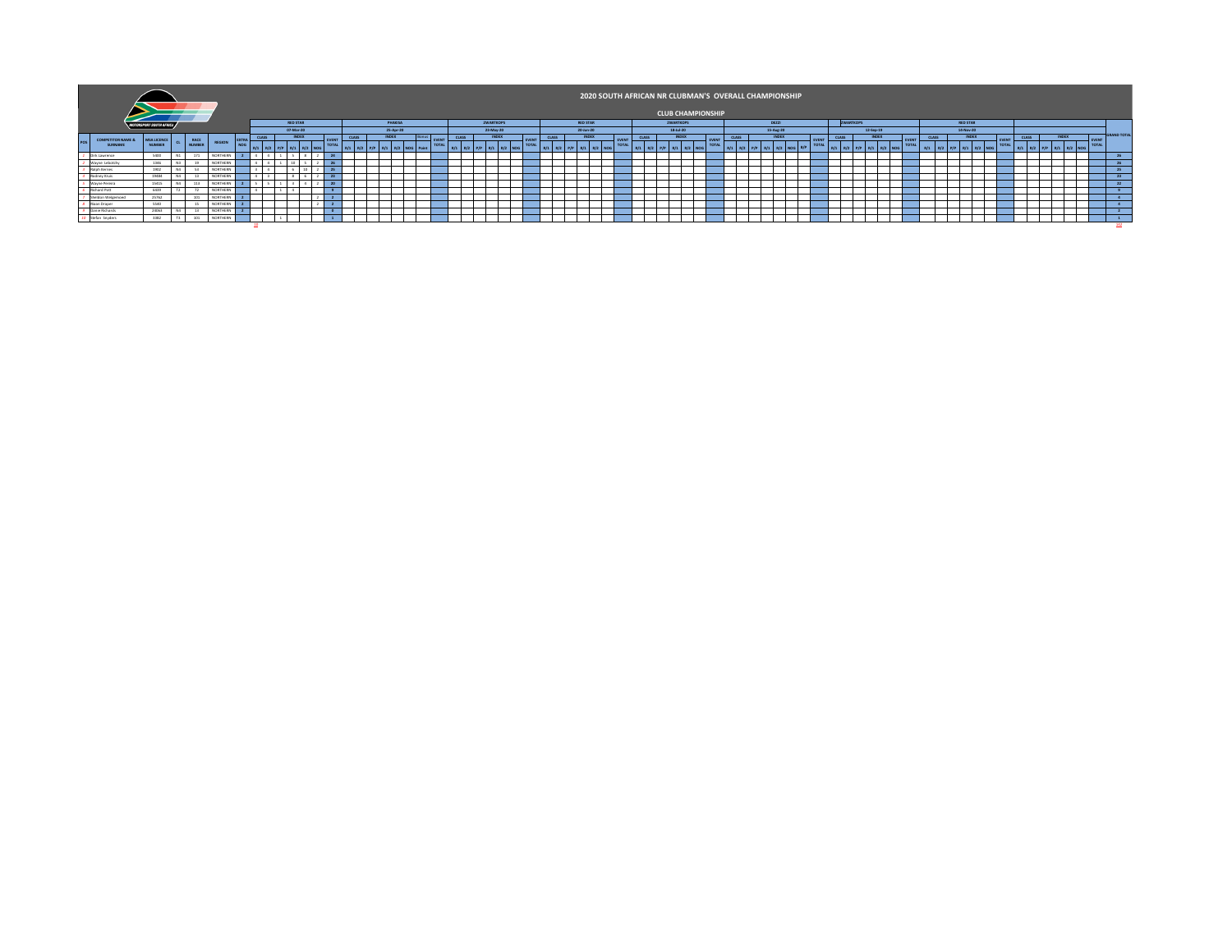|                                    |               |    |               |                 |               |              |                 |                                     |         |       |                                                       |             |              |                                               |              |              |                                     |                                                                                                                                        |              |              |                                     |           |              | 2020 SOUTH AFRICAN NR CLUBMAN'S OVERALL CHAMPIONSHIP |                       |              |                  |                                     |                                                         |              |                 |                                     |                                   |              |                                   |                                |                    |
|------------------------------------|---------------|----|---------------|-----------------|---------------|--------------|-----------------|-------------------------------------|---------|-------|-------------------------------------------------------|-------------|--------------|-----------------------------------------------|--------------|--------------|-------------------------------------|----------------------------------------------------------------------------------------------------------------------------------------|--------------|--------------|-------------------------------------|-----------|--------------|------------------------------------------------------|-----------------------|--------------|------------------|-------------------------------------|---------------------------------------------------------|--------------|-----------------|-------------------------------------|-----------------------------------|--------------|-----------------------------------|--------------------------------|--------------------|
|                                    |               |    |               |                 |               |              |                 |                                     |         |       |                                                       |             |              |                                               |              |              |                                     |                                                                                                                                        |              |              | <b>CLUB CHAMPIONSHIP</b>            |           |              |                                                      |                       |              |                  |                                     |                                                         |              |                 |                                     |                                   |              |                                   |                                |                    |
|                                    |               |    |               |                 |               |              | <b>RED STAR</b> |                                     |         |       | <b>PHAKISA</b>                                        |             |              | <b>ZWARTKOPS</b>                              |              |              | <b>RED STAR</b>                     |                                                                                                                                        |              |              | <b>ZWARTKOPS</b>                    |           |              | <b>DEZZI</b>                                         |                       |              | <b>ZWARTKOPS</b> |                                     |                                                         |              | <b>RED STAR</b> |                                     |                                   |              |                                   |                                |                    |
|                                    |               |    |               |                 |               |              | 07-Mar-20       |                                     |         |       | 25-Apr-20                                             |             |              | 23-May-20                                     |              |              | 20-Jun-20                           |                                                                                                                                        |              |              | 18-Jul-20                           |           |              | 15-Aug-20                                            |                       |              |                  | 12-Sep-19                           |                                                         |              | 14-Nov-20       |                                     |                                   |              |                                   |                                |                    |
| <b>COMPETITOR NAME &amp;</b>       | MSA LICENCE   |    | <b>RACE</b>   |                 | $ $ EXTRA $ $ | <b>CLASS</b> |                 | <b>INDEX</b>                        | EVENT L | CLASS | <b>INDEX</b>                                          | Bonus EVENT | <b>CLASS</b> | <b>INDEX</b>                                  | <b>EVENT</b> | <b>CLASS</b> |                                     | <b>INDEX</b><br><u> a shekara ta 1999 a shekara ta 1999 a shekara ta 1999 a shekara ta 1999 a shekara ta 1999 a shekara ta 1999 a </u> | <b>EVENT</b> | <b>CLASS</b> | <b>INDEX</b>                        | $ $ EVENT | <b>CLASS</b> | <b>INDEX</b>                                         | $\vert$ event $\vert$ | <b>CLASS</b> |                  | <b>INDEX</b>                        | $\overline{\phantom{a}}$ event $\overline{\phantom{a}}$ | <b>CLASS</b> |                 | <b>INDEX</b>                        | $\frac{1}{2}$ event $\frac{1}{2}$ | <b>CLASS</b> | <b>INDEX</b>                      | $\overline{\phantom{a}}$ EVENT | <b>GRAND TOTAL</b> |
| POS <sup>1</sup><br><b>SURNAME</b> | <b>NUMBER</b> |    | <b>NUMBER</b> | <b>REGION</b>   |               |              |                 | $R/1$   R/2   P/P   R/1   R/2   NOG |         |       | $R/1$   $R/2$   $P/P$   $R/1$   $R/2$   $NOG$   Point |             |              | $R/1$   $R/2$   $P/P$   $R/1$   $R/2$   $NOG$ |              |              | $R/1$ $R/2$ $P/P$ $R/1$ $R/2$ $NOG$ |                                                                                                                                        |              |              | $R/1$ $R/2$ $P/P$ $R/1$ $R/2$ $NOG$ |           |              | $R/1$   R/2   P/P   R/1   R/2   NOG   B/P            |                       |              |                  | $R/1$   R/2   P/P   R/1   R/2   NOG |                                                         |              |                 | $R/1$ $R/2$ $P/P$ $R/1$ $R/2$ $NOG$ |                                   |              | R/1   R/2   P/P   R/1   R/2   NOG |                                |                    |
| Dirk Lawrence                      | 5400          |    | 171           | <b>NORTHERN</b> |               |              |                 |                                     |         |       |                                                       |             |              |                                               |              |              |                                     |                                                                                                                                        |              |              |                                     |           |              |                                                      |                       |              |                  |                                     |                                                         |              |                 |                                     |                                   |              |                                   |                                |                    |
| Wayne Lebotchy                     | 1346          |    |               | <b>NORTHERN</b> |               |              |                 |                                     |         |       |                                                       |             |              |                                               |              |              |                                     |                                                                                                                                        |              |              |                                     |           |              |                                                      |                       |              |                  |                                     |                                                         |              |                 |                                     |                                   |              |                                   |                                |                    |
| <b>Ralph Kernes</b>                | 1902          | N4 | 52            | <b>NORTHERN</b> |               |              |                 |                                     |         |       |                                                       |             |              |                                               |              |              |                                     |                                                                                                                                        |              |              |                                     |           |              |                                                      |                       |              |                  |                                     |                                                         |              |                 |                                     |                                   |              |                                   |                                |                    |
| 4 Rodney Kruis                     | 19484         |    |               | <b>NORTHERN</b> |               |              |                 |                                     |         |       |                                                       |             |              |                                               |              |              |                                     |                                                                                                                                        |              |              |                                     |           |              |                                                      |                       |              |                  |                                     |                                                         |              |                 |                                     |                                   |              |                                   |                                |                    |
| Wayne Pereira                      | 15415         |    |               | <b>NORTHERN</b> |               |              |                 |                                     |         |       |                                                       |             |              |                                               |              |              |                                     |                                                                                                                                        |              |              |                                     |           |              |                                                      |                       |              |                  |                                     |                                                         |              |                 |                                     |                                   |              |                                   |                                |                    |
| <b>Richard Pott</b>                | 6439          |    |               | NORTHERN        |               |              |                 |                                     |         |       |                                                       |             |              |                                               |              |              |                                     |                                                                                                                                        |              |              |                                     |           |              |                                                      |                       |              |                  |                                     |                                                         |              |                 |                                     |                                   |              |                                   |                                |                    |
| Sheldon Welgemoed                  | 25762         |    | 101           | <b>NORTHERN</b> |               |              |                 |                                     |         |       |                                                       |             |              |                                               |              |              |                                     |                                                                                                                                        |              |              |                                     |           |              |                                                      |                       |              |                  |                                     |                                                         |              |                 |                                     |                                   |              |                                   |                                |                    |
| Riaan Draper                       | 5540          |    |               | <b>NORTHERN</b> |               |              |                 |                                     |         |       |                                                       |             |              |                                               |              |              |                                     |                                                                                                                                        |              |              |                                     |           |              |                                                      |                       |              |                  |                                     |                                                         |              |                 |                                     |                                   |              |                                   |                                |                    |
| Danie Richards                     | 24063         |    |               | NORTHERN        |               |              |                 |                                     |         |       |                                                       |             |              |                                               |              |              |                                     |                                                                                                                                        |              |              |                                     |           |              |                                                      |                       |              |                  |                                     |                                                         |              |                 |                                     |                                   |              |                                   |                                |                    |
| Stefan Snyders                     | 3382          |    | 101           | <b>NORTHERN</b> |               |              |                 |                                     |         |       |                                                       |             |              |                                               |              |              |                                     |                                                                                                                                        |              |              |                                     |           |              |                                                      |                       |              |                  |                                     |                                                         |              |                 |                                     |                                   |              |                                   |                                |                    |
|                                    |               |    |               |                 |               |              |                 |                                     |         |       |                                                       |             |              |                                               |              |              |                                     |                                                                                                                                        |              |              |                                     |           |              |                                                      |                       |              |                  |                                     |                                                         |              |                 |                                     |                                   |              |                                   |                                | <u>142</u>         |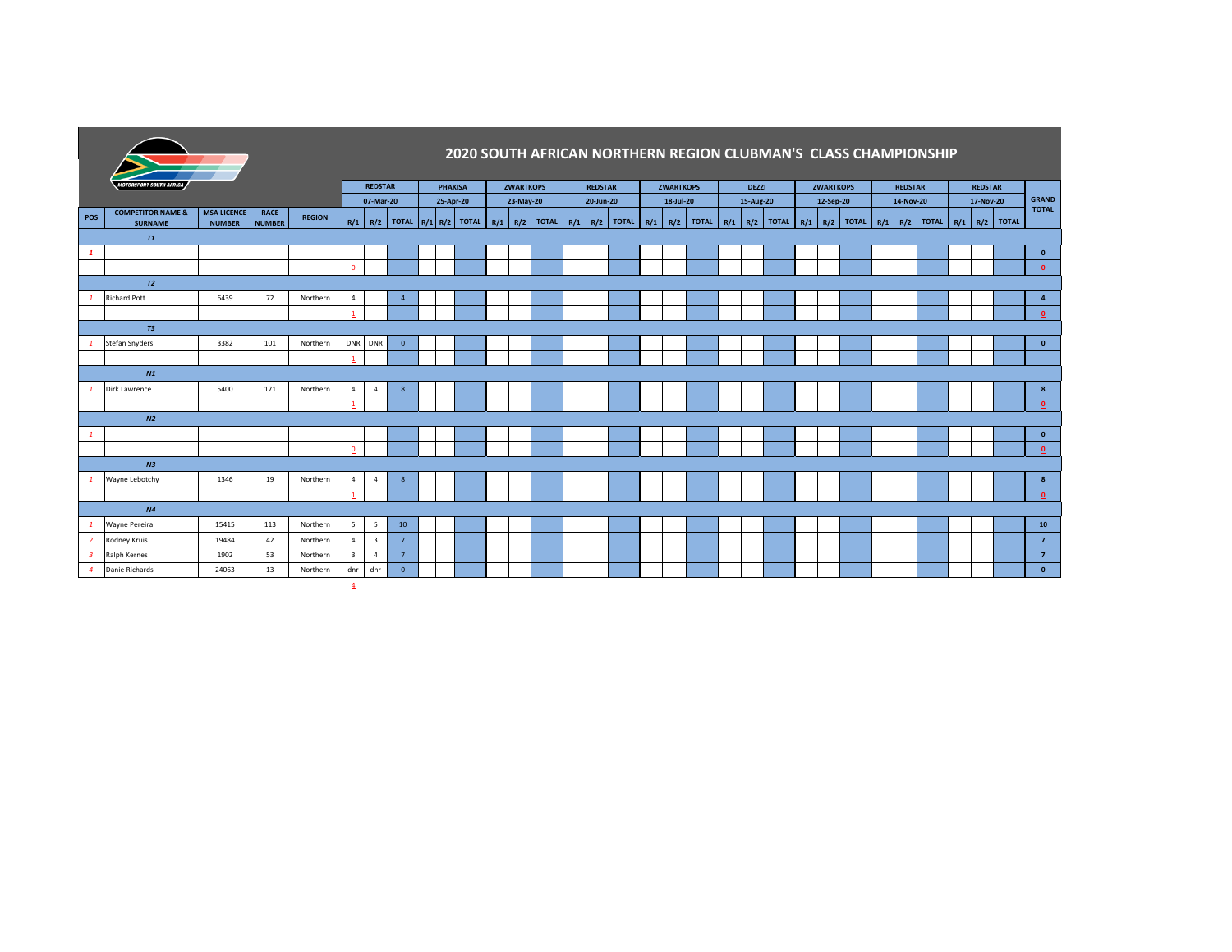|                |                                                |                                     |                              |               |                         |                         |                         |                |  |                  |  |                | 2020 SOUTH AFRICAN NORTHERN REGION CLUBMAN'S CLASS CHAMPIONSHIP                         |                  |                                       |              |  |                  |  |                |                                                             |                |                              |
|----------------|------------------------------------------------|-------------------------------------|------------------------------|---------------|-------------------------|-------------------------|-------------------------|----------------|--|------------------|--|----------------|-----------------------------------------------------------------------------------------|------------------|---------------------------------------|--------------|--|------------------|--|----------------|-------------------------------------------------------------|----------------|------------------------------|
|                | MOTORSPORT SOUTH AFRICA                        |                                     |                              |               |                         | <b>REDSTAR</b>          |                         | <b>PHAKISA</b> |  | <b>ZWARTKOPS</b> |  | <b>REDSTAR</b> |                                                                                         | <b>ZWARTKOPS</b> |                                       | <b>DEZZI</b> |  | <b>ZWARTKOPS</b> |  | <b>REDSTAR</b> |                                                             | <b>REDSTAR</b> |                              |
|                |                                                |                                     |                              |               |                         | 07-Mar-20               |                         | 25-Apr-20      |  | 23-May-20        |  | 20-Jun-20      |                                                                                         | 18-Jul-20        |                                       | 15-Aug-20    |  | 12-Sep-20        |  | 14-Nov-20      |                                                             | 17-Nov-20      | <b>GRAND</b><br><b>TOTAL</b> |
| POS            | <b>COMPETITOR NAME &amp;</b><br><b>SURNAME</b> | <b>MSA LICENCE</b><br><b>NUMBER</b> | <b>RACE</b><br><b>NUMBER</b> | <b>REGION</b> |                         |                         |                         |                |  |                  |  |                | $R/1   R/2   TOTAL   R/1   R/2   TOTAL   R/1   R/2   TOTAL   R/1   R/2   TOTAL   R/1  $ |                  | $R/2$   TOTAL   $R/1$   $R/2$   TOTAL |              |  |                  |  |                | $R/1$ $R/2$ $TOTAL$ $R/1$ $R/2$ $TOTAL$ $R/1$ $R/2$ $TOTAL$ |                |                              |
|                | T1                                             |                                     |                              |               |                         |                         |                         |                |  |                  |  |                |                                                                                         |                  |                                       |              |  |                  |  |                |                                                             |                |                              |
| $\mathbf{1}$   |                                                |                                     |                              |               |                         |                         |                         |                |  |                  |  |                |                                                                                         |                  |                                       |              |  |                  |  |                |                                                             |                | $\overline{\mathbf{0}}$      |
|                |                                                |                                     |                              |               | $\overline{0}$          |                         |                         |                |  |                  |  |                |                                                                                         |                  |                                       |              |  |                  |  |                |                                                             |                | Q                            |
|                | T2                                             |                                     |                              |               |                         |                         |                         |                |  |                  |  |                |                                                                                         |                  |                                       |              |  |                  |  |                |                                                             |                |                              |
|                | <b>Richard Pott</b>                            | 6439                                | 72                           | Northern      | 4                       |                         | $\boldsymbol{\Lambda}$  |                |  |                  |  |                |                                                                                         |                  |                                       |              |  |                  |  |                |                                                             |                | $\overline{4}$               |
|                |                                                |                                     |                              |               |                         |                         |                         |                |  |                  |  |                |                                                                                         |                  |                                       |              |  |                  |  |                |                                                             |                | $\Omega$                     |
|                | T3                                             |                                     |                              |               |                         |                         |                         |                |  |                  |  |                |                                                                                         |                  |                                       |              |  |                  |  |                |                                                             |                |                              |
|                | <b>Stefan Snyders</b>                          | 3382                                | 101                          | Northern      |                         | DNR DNR                 | $\overline{\mathbf{0}}$ |                |  |                  |  |                |                                                                                         |                  |                                       |              |  |                  |  |                |                                                             |                | $\mathbf{0}$                 |
|                |                                                |                                     |                              |               |                         |                         |                         |                |  |                  |  |                |                                                                                         |                  |                                       |              |  |                  |  |                |                                                             |                |                              |
|                | N1                                             |                                     |                              |               |                         |                         |                         |                |  |                  |  |                |                                                                                         |                  |                                       |              |  |                  |  |                |                                                             |                |                              |
|                | Dirk Lawrence                                  | 5400                                | 171                          | Northern      | $\overline{4}$          | $\overline{4}$          | 8                       |                |  |                  |  |                |                                                                                         |                  |                                       |              |  |                  |  |                |                                                             |                | 8 <sup>°</sup>               |
|                |                                                |                                     |                              |               |                         |                         |                         |                |  |                  |  |                |                                                                                         |                  |                                       |              |  |                  |  |                |                                                             |                | $\Omega$                     |
|                | N2                                             |                                     |                              |               |                         |                         |                         |                |  |                  |  |                |                                                                                         |                  |                                       |              |  |                  |  |                |                                                             |                |                              |
|                |                                                |                                     |                              |               |                         |                         |                         |                |  |                  |  |                |                                                                                         |                  |                                       |              |  |                  |  |                |                                                             |                | $\mathbf{0}$                 |
|                |                                                |                                     |                              |               | Q                       |                         |                         |                |  |                  |  |                |                                                                                         |                  |                                       |              |  |                  |  |                |                                                             |                | $\overline{\mathbf{Q}}$      |
|                | N3                                             |                                     |                              |               |                         |                         |                         |                |  |                  |  |                |                                                                                         |                  |                                       |              |  |                  |  |                |                                                             |                |                              |
|                | <b>Wayne Lebotchy</b>                          | 1346                                | 19                           | Northern      | $\overline{4}$          | $\overline{4}$          | 8                       |                |  |                  |  |                |                                                                                         |                  |                                       |              |  |                  |  |                |                                                             |                | 8 <sup>°</sup>               |
|                |                                                |                                     |                              |               |                         |                         |                         |                |  |                  |  |                |                                                                                         |                  |                                       |              |  |                  |  |                |                                                             |                | Q                            |
|                | N4                                             |                                     |                              |               |                         |                         |                         |                |  |                  |  |                |                                                                                         |                  |                                       |              |  |                  |  |                |                                                             |                |                              |
|                | Wayne Pereira                                  | 15415                               | 113                          | Northern      | $5\overline{)}$         | $5\overline{)}$         | 10                      |                |  |                  |  |                |                                                                                         |                  |                                       |              |  |                  |  |                |                                                             |                | <b>10</b>                    |
| $\overline{2}$ | Rodney Kruis                                   | 19484                               | 42                           | Northern      | 4                       | $\overline{\mathbf{3}}$ | $\overline{7}$          |                |  |                  |  |                |                                                                                         |                  |                                       |              |  |                  |  |                |                                                             |                | $\overline{\mathbf{z}}$      |
| 3              | Ralph Kernes                                   | 1902                                | 53                           | Northern      | $\overline{\mathbf{3}}$ | $\overline{4}$          | $\overline{7}$          |                |  |                  |  |                |                                                                                         |                  |                                       |              |  |                  |  |                |                                                             |                | $\overline{\mathbf{z}}$      |
| $\overline{4}$ | Danie Richards                                 | 24063                               | 13                           | Northern      | dnr                     | dnr                     | $\overline{0}$          |                |  |                  |  |                |                                                                                         |                  |                                       |              |  |                  |  |                |                                                             |                | $\mathbf{0}$                 |
|                |                                                |                                     |                              |               |                         |                         |                         |                |  |                  |  |                |                                                                                         |                  |                                       |              |  |                  |  |                |                                                             |                |                              |